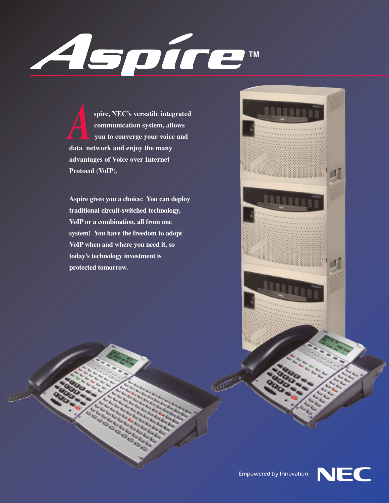

**spire, NEC's versatile integrated communication system, allows you to converge your voice and data network and enjoy the many advantages of Voice over Internet Protocol (VoIP).**  *A*

**Aspire gives you a choice: You can deploy traditional circuit-switched technology, VoIP or a combination, all from one system! You have the freedom to adopt VoIP when and where you need it, so today's technology investment is protected tomorrow.**





Empowered by Innovation